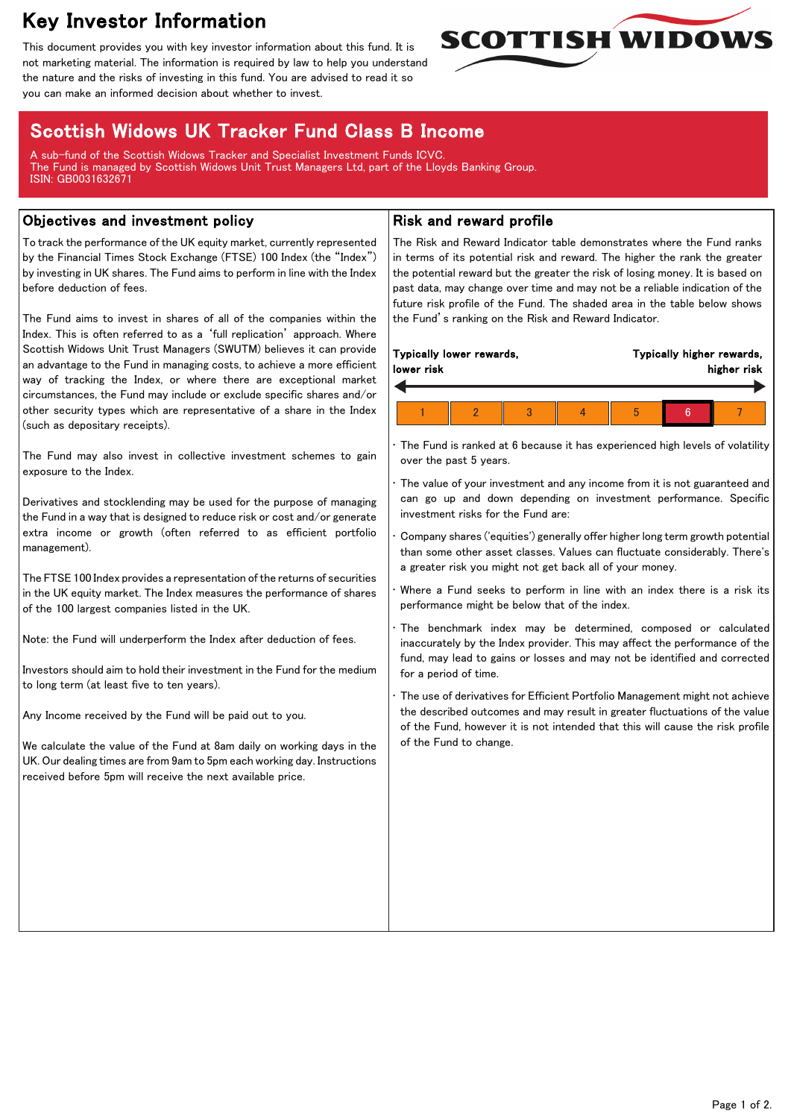# Key Investor Information

This document provides you with key investor information about this fund. It is not marketing material. The information is required by law to help you understand the nature and the risks of investing in this fund. You are advised to read it so you can make an informed decision about whether to invest.



## Scottish Widows UK Tracker Fund Class B Income

A sub-fund of the Scottish Widows Tracker and Specialist Investment Funds ICVC. The Fund is managed by Scottish Widows Unit Trust Managers Ltd, part of the Lloyds Banking Group. ISIN: GB0031632671

#### Objectives and investment policy

To track the performance of the UK equity market, currently represented by the Financial Times Stock Exchange (FTSE) 100 Index (the "Index") by investing in UK shares. The Fund aims to perform in line with the Index before deduction of fees.

The Fund aims to invest in shares of all of the companies within the Index. This is often referred to as a 'full replication' approach. Where Scottish Widows Unit Trust Managers (SWUTM) believes it can provide an advantage to the Fund in managing costs, to achieve a more efficient way of tracking the Index, or where there are exceptional market circumstances, the Fund may include or exclude specific shares and/or other security types which are representative of a share in the Index (such as depositary receipts).

The Fund may also invest in collective investment schemes to gain exposure to the Index.

Derivatives and stocklending may be used for the purpose of managing the Fund in a way that is designed to reduce risk or cost and/or generate extra income or growth (often referred to as efficient portfolio management).

The FTSE 100 Index provides a representation of the returns of securities in the UK equity market. The Index measures the performance of shares of the 100 largest companies listed in the UK.

Note: the Fund will underperform the Index after deduction of fees.

Investors should aim to hold their investment in the Fund for the medium to long term (at least five to ten years).

Any Income received by the Fund will be paid out to you.

We calculate the value of the Fund at 8am daily on working days in the UK. Our dealing times are from 9am to 5pm each working day. Instructions received before 5pm will receive the next available price.

### Risk and reward profile

The Risk and Reward Indicator table demonstrates where the Fund ranks in terms of its potential risk and reward. The higher the rank the greater the potential reward but the greater the risk of losing money. It is based on past data, may change over time and may not be a reliable indication of the future risk profile of the Fund. The shaded area in the table below shows the Fund's ranking on the Risk and Reward Indicator.

| Typically lower rewards, |  |  |  | Typically higher rewards, |  |  |
|--------------------------|--|--|--|---------------------------|--|--|
| lower risk               |  |  |  | higher risk               |  |  |
|                          |  |  |  | h                         |  |  |

The Fund is ranked at 6 because it has experienced high levels of volatility over the past 5 years.

The value of your investment and any income from it is not guaranteed and can go up and down depending on investment performance. Specific investment risks for the Fund are:

• Company shares ('equities') generally offer higher long term growth potential than some other asset classes. Values can fluctuate considerably. There's a greater risk you might not get back all of your money.

Where a Fund seeks to perform in line with an index there is a risk its performance might be below that of the index.

The benchmark index may be determined, composed or calculated inaccurately by the Index provider. This may affect the performance of the fund, may lead to gains or losses and may not be identified and corrected for a period of time.

The use of derivatives for Efficient Portfolio Management might not achieve the described outcomes and may result in greater fluctuations of the value of the Fund, however it is not intended that this will cause the risk profile of the Fund to change.